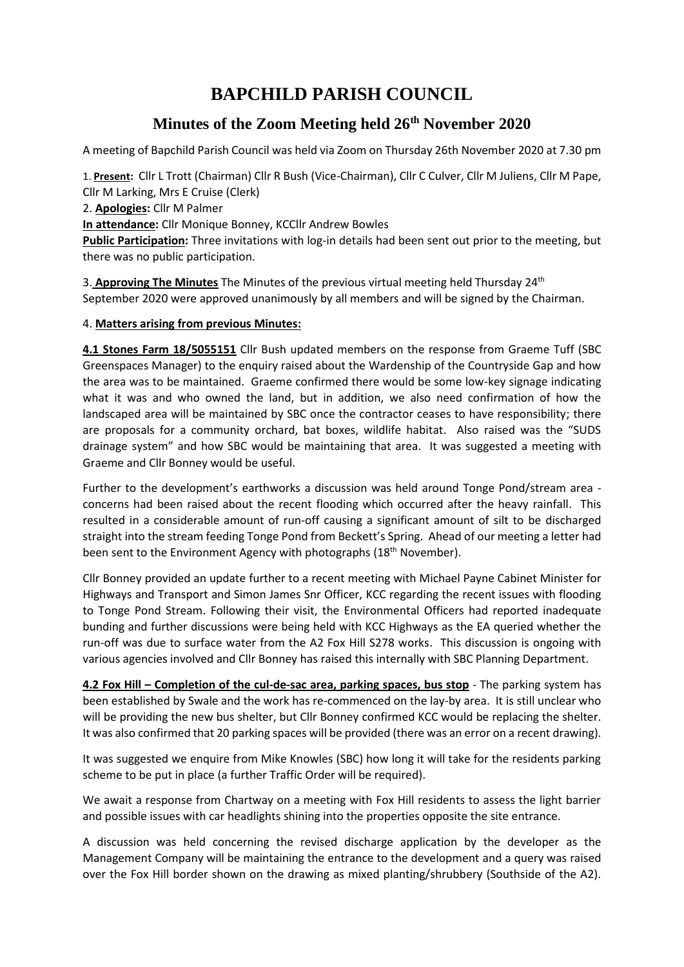# **BAPCHILD PARISH COUNCIL**

# **Minutes of the Zoom Meeting held 26th November 2020**

A meeting of Bapchild Parish Council was held via Zoom on Thursday 26th November 2020 at 7.30 pm

1. **Present:** Cllr L Trott (Chairman) Cllr R Bush (Vice-Chairman), Cllr C Culver, Cllr M Juliens, Cllr M Pape, Cllr M Larking, Mrs E Cruise (Clerk)

2. **Apologies:** Cllr M Palmer

**In attendance:** Cllr Monique Bonney, KCCllr Andrew Bowles

Public Participation: Three invitations with log-in details had been sent out prior to the meeting, but there was no public participation.

3. **Approving The Minutes** The Minutes of the previous virtual meeting held Thursday 24th September 2020 were approved unanimously by all members and will be signed by the Chairman.

## 4. **Matters arising from previous Minutes:**

**4.1 Stones Farm 18/5055151** Cllr Bush updated members on the response from Graeme Tuff (SBC Greenspaces Manager) to the enquiry raised about the Wardenship of the Countryside Gap and how the area was to be maintained. Graeme confirmed there would be some low-key signage indicating what it was and who owned the land, but in addition, we also need confirmation of how the landscaped area will be maintained by SBC once the contractor ceases to have responsibility; there are proposals for a community orchard, bat boxes, wildlife habitat. Also raised was the "SUDS drainage system" and how SBC would be maintaining that area. It was suggested a meeting with Graeme and Cllr Bonney would be useful.

Further to the development's earthworks a discussion was held around Tonge Pond/stream area concerns had been raised about the recent flooding which occurred after the heavy rainfall. This resulted in a considerable amount of run-off causing a significant amount of silt to be discharged straight into the stream feeding Tonge Pond from Beckett's Spring. Ahead of our meeting a letter had been sent to the Environment Agency with photographs (18<sup>th</sup> November).

Cllr Bonney provided an update further to a recent meeting with Michael Payne Cabinet Minister for Highways and Transport and Simon James Snr Officer, KCC regarding the recent issues with flooding to Tonge Pond Stream. Following their visit, the Environmental Officers had reported inadequate bunding and further discussions were being held with KCC Highways as the EA queried whether the run-off was due to surface water from the A2 Fox Hill S278 works. This discussion is ongoing with various agencies involved and Cllr Bonney has raised this internally with SBC Planning Department.

**4.2 Fox Hill – Completion of the cul-de-sac area, parking spaces, bus stop** - The parking system has been established by Swale and the work has re-commenced on the lay-by area. It is still unclear who will be providing the new bus shelter, but Cllr Bonney confirmed KCC would be replacing the shelter. It was also confirmed that 20 parking spaces will be provided (there was an error on a recent drawing).

It was suggested we enquire from Mike Knowles (SBC) how long it will take for the residents parking scheme to be put in place (a further Traffic Order will be required).

We await a response from Chartway on a meeting with Fox Hill residents to assess the light barrier and possible issues with car headlights shining into the properties opposite the site entrance.

A discussion was held concerning the revised discharge application by the developer as the Management Company will be maintaining the entrance to the development and a query was raised over the Fox Hill border shown on the drawing as mixed planting/shrubbery (Southside of the A2).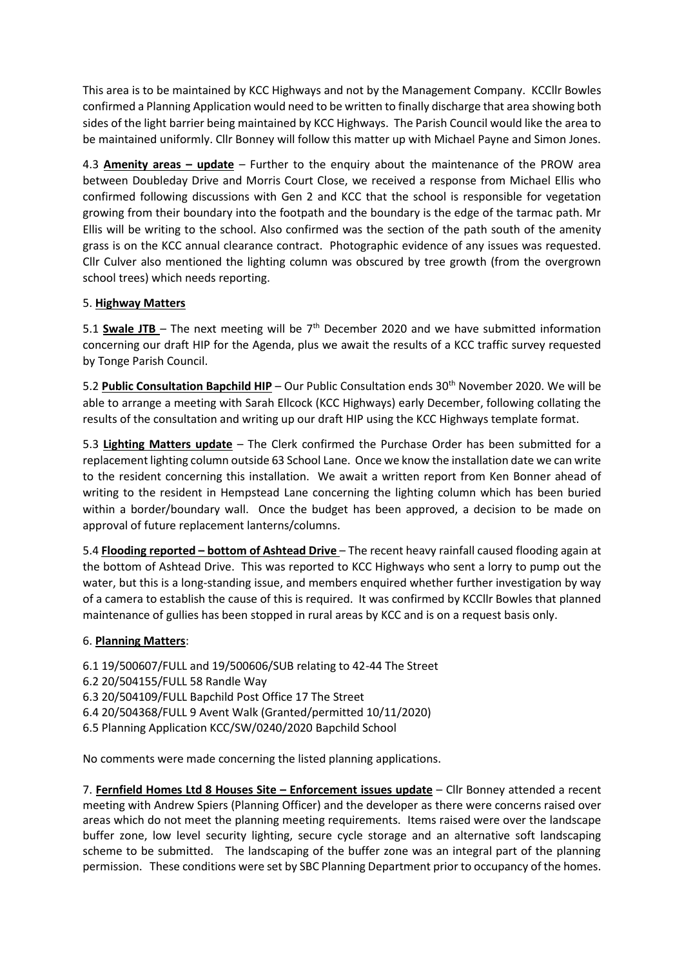This area is to be maintained by KCC Highways and not by the Management Company. KCCllr Bowles confirmed a Planning Application would need to be written to finally discharge that area showing both sides of the light barrier being maintained by KCC Highways. The Parish Council would like the area to be maintained uniformly. Cllr Bonney will follow this matter up with Michael Payne and Simon Jones.

4.3 **Amenity areas – update** – Further to the enquiry about the maintenance of the PROW area between Doubleday Drive and Morris Court Close, we received a response from Michael Ellis who confirmed following discussions with Gen 2 and KCC that the school is responsible for vegetation growing from their boundary into the footpath and the boundary is the edge of the tarmac path. Mr Ellis will be writing to the school. Also confirmed was the section of the path south of the amenity grass is on the KCC annual clearance contract. Photographic evidence of any issues was requested. Cllr Culver also mentioned the lighting column was obscured by tree growth (from the overgrown school trees) which needs reporting.

## 5. **Highway Matters**

5.1 **Swale JTB** – The next meeting will be 7<sup>th</sup> December 2020 and we have submitted information concerning our draft HIP for the Agenda, plus we await the results of a KCC traffic survey requested by Tonge Parish Council.

5.2 **Public Consultation Bapchild HIP** – Our Public Consultation ends 30th November 2020. We will be able to arrange a meeting with Sarah Ellcock (KCC Highways) early December, following collating the results of the consultation and writing up our draft HIP using the KCC Highways template format.

5.3 **Lighting Matters update** – The Clerk confirmed the Purchase Order has been submitted for a replacement lighting column outside 63 School Lane. Once we know the installation date we can write to the resident concerning this installation. We await a written report from Ken Bonner ahead of writing to the resident in Hempstead Lane concerning the lighting column which has been buried within a border/boundary wall. Once the budget has been approved, a decision to be made on approval of future replacement lanterns/columns.

5.4 **Flooding reported – bottom of Ashtead Drive** – The recent heavy rainfall caused flooding again at the bottom of Ashtead Drive. This was reported to KCC Highways who sent a lorry to pump out the water, but this is a long-standing issue, and members enquired whether further investigation by way of a camera to establish the cause of this is required. It was confirmed by KCCllr Bowles that planned maintenance of gullies has been stopped in rural areas by KCC and is on a request basis only.

#### 6. **Planning Matters**:

6.1 19/500607/FULL and 19/500606/SUB relating to 42-44 The Street 6.2 20/504155/FULL 58 Randle Way 6.3 20/504109/FULL Bapchild Post Office 17 The Street 6.4 20/504368/FULL 9 Avent Walk (Granted/permitted 10/11/2020) 6.5 Planning Application KCC/SW/0240/2020 Bapchild School

No comments were made concerning the listed planning applications.

7. **Fernfield Homes Ltd 8 Houses Site – Enforcement issues update** – Cllr Bonney attended a recent meeting with Andrew Spiers (Planning Officer) and the developer as there were concerns raised over areas which do not meet the planning meeting requirements. Items raised were over the landscape buffer zone, low level security lighting, secure cycle storage and an alternative soft landscaping scheme to be submitted. The landscaping of the buffer zone was an integral part of the planning permission. These conditions were set by SBC Planning Department prior to occupancy of the homes.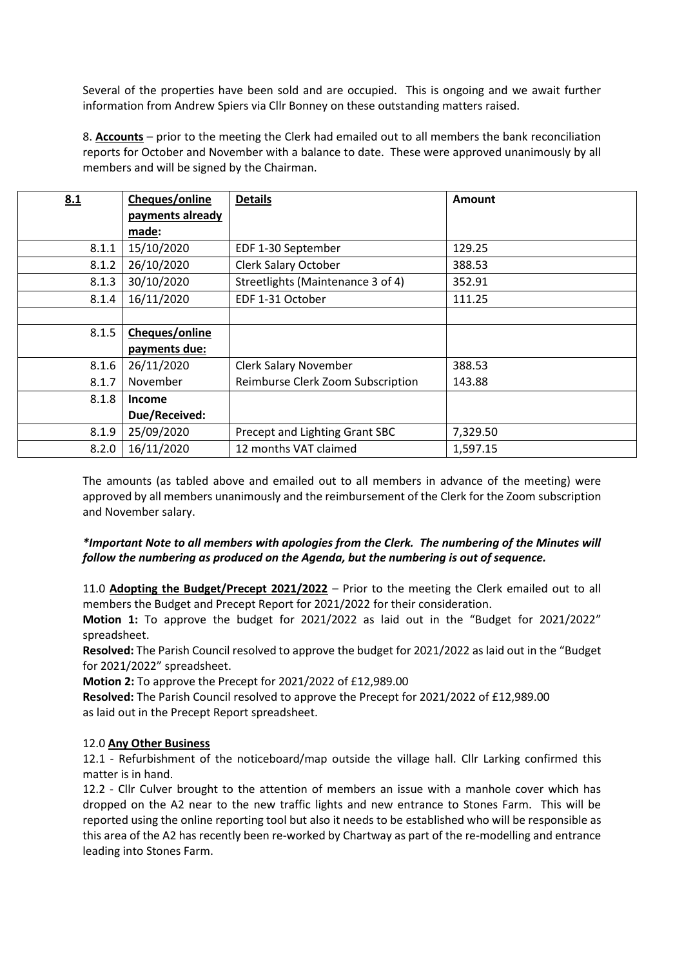Several of the properties have been sold and are occupied. This is ongoing and we await further information from Andrew Spiers via Cllr Bonney on these outstanding matters raised.

8. **Accounts** – prior to the meeting the Clerk had emailed out to all members the bank reconciliation reports for October and November with a balance to date. These were approved unanimously by all members and will be signed by the Chairman.

| 8.1   | Cheques/online   | <b>Details</b>                    | Amount   |
|-------|------------------|-----------------------------------|----------|
|       | payments already |                                   |          |
|       | made:            |                                   |          |
| 8.1.1 | 15/10/2020       | EDF 1-30 September                | 129.25   |
| 8.1.2 | 26/10/2020       | <b>Clerk Salary October</b>       | 388.53   |
| 8.1.3 | 30/10/2020       | Streetlights (Maintenance 3 of 4) | 352.91   |
| 8.1.4 | 16/11/2020       | EDF 1-31 October                  | 111.25   |
|       |                  |                                   |          |
| 8.1.5 | Cheques/online   |                                   |          |
|       | payments due:    |                                   |          |
| 8.1.6 | 26/11/2020       | <b>Clerk Salary November</b>      | 388.53   |
| 8.1.7 | November         | Reimburse Clerk Zoom Subscription | 143.88   |
| 8.1.8 | <b>Income</b>    |                                   |          |
|       | Due/Received:    |                                   |          |
| 8.1.9 | 25/09/2020       | Precept and Lighting Grant SBC    | 7,329.50 |
| 8.2.0 | 16/11/2020       | 12 months VAT claimed             | 1,597.15 |

The amounts (as tabled above and emailed out to all members in advance of the meeting) were approved by all members unanimously and the reimbursement of the Clerk for the Zoom subscription and November salary.

## *\*Important Note to all members with apologies from the Clerk. The numbering of the Minutes will follow the numbering as produced on the Agenda, but the numbering is out of sequence.*

11.0 **Adopting the Budget/Precept 2021/2022** – Prior to the meeting the Clerk emailed out to all members the Budget and Precept Report for 2021/2022 for their consideration.

**Motion 1:** To approve the budget for 2021/2022 as laid out in the "Budget for 2021/2022" spreadsheet.

**Resolved:** The Parish Council resolved to approve the budget for 2021/2022 as laid out in the "Budget for 2021/2022" spreadsheet.

**Motion 2:** To approve the Precept for 2021/2022 of £12,989.00

**Resolved:** The Parish Council resolved to approve the Precept for 2021/2022 of £12,989.00 as laid out in the Precept Report spreadsheet.

#### 12.0 **Any Other Business**

12.1 - Refurbishment of the noticeboard/map outside the village hall. Cllr Larking confirmed this matter is in hand.

12.2 - Cllr Culver brought to the attention of members an issue with a manhole cover which has dropped on the A2 near to the new traffic lights and new entrance to Stones Farm. This will be reported using the online reporting tool but also it needs to be established who will be responsible as this area of the A2 has recently been re-worked by Chartway as part of the re-modelling and entrance leading into Stones Farm.